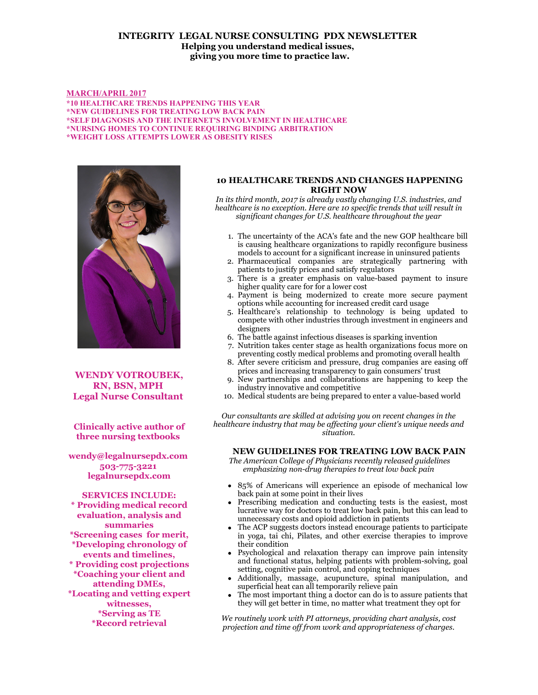# **INTEGRITY LEGAL NURSE CONSULTING PDX NEWSLETTER Helping you understand medical issues, giving you more time to practice law.**

#### **MARCH/APRIL 2017**

**\*10 HEALTHCARE TRENDS HAPPENING THIS YEAR \*NEW GUIDELINES FOR TREATING LOW BACK PAIN \*SELF DIAGNOSIS AND THE INTERNET'S INVOLVEMENT IN HEALTHCARE \*NURSING HOMES TO CONTINUE REQUIRING BINDING ARBITRATION \*WEIGHT LOSS ATTEMPTS LOWER AS OBESITY RISES**



**WENDY VOTROUBEK, RN, BSN, MPH Legal Nurse Consultant** 

**Clinically active author of three nursing textbooks** 

**wendy@legalnursepdx.com 503-775-3221 legalnursepdx.com**

**SERVICES INCLUDE: \* Providing medical record evaluation, analysis and summaries \*Screening cases for merit, \*Developing chronology of events and timelines, \* Providing cost projections \*Coaching your client and attending DMEs, \*Locating and vetting expert witnesses, \*Serving as TE \*Record retrieval**

## **10 HEALTHCARE TRENDS AND CHANGES HAPPENING RIGHT NOW**

*In its third month, 2017 is already vastly changing U.S. industries, and healthcare is no exception. Here are 10 specific trends that will result in significant changes for U.S. healthcare throughout the year*

- 1. The uncertainty of the ACA's fate and the new GOP healthcare bill is causing healthcare organizations to rapidly reconfigure business models to account for a significant increase in uninsured patients
- 2. Pharmaceutical companies are strategically partnering with patients to justify prices and satisfy regulators
- 3. There is a greater emphasis on value-based payment to insure higher quality care for for a lower cost
- 4. Payment is being modernized to create more secure payment options while accounting for increased credit card usage
- 5. Healthcare's relationship to technology is being updated to compete with other industries through investment in engineers and designers
- 6. The battle against infectious diseases is sparking invention
- 7. Nutrition takes center stage as health organizations focus more on preventing costly medical problems and promoting overall health
- 8. After severe criticism and pressure, drug companies are easing off prices and increasing transparency to gain consumers' trust
- 9. New partnerships and collaborations are happening to keep the industry innovative and competitive
- 10. Medical students are being prepared to enter a value-based world

*Our consultants are skilled at advising you on recent changes in the healthcare industry that may be affecting your client's unique needs and situation.*

### **NEW GUIDELINES FOR TREATING LOW BACK PAIN**

 *The American College of Physicians recently released guidelines emphasizing non-drug therapies to treat low back pain*

- 85% of Americans will experience an episode of mechanical low back pain at some point in their lives
- Prescribing medication and conducting tests is the easiest, most lucrative way for doctors to treat low back pain, but this can lead to unnecessary costs and opioid addiction in patients
- The ACP suggests doctors instead encourage patients to participate in yoga, tai chi, Pilates, and other exercise therapies to improve their condition
- Psychological and relaxation therapy can improve pain intensity and functional status, helping patients with problem-solving, goal setting, cognitive pain control, and coping techniques
- Additionally, massage, acupuncture, spinal manipulation, and superficial heat can all temporarily relieve pain
- The most important thing a doctor can do is to assure patients that they will get better in time, no matter what treatment they opt for

*We routinely work with PI attorneys, providing chart analysis, cost projection and time off from work and appropriateness of charges.*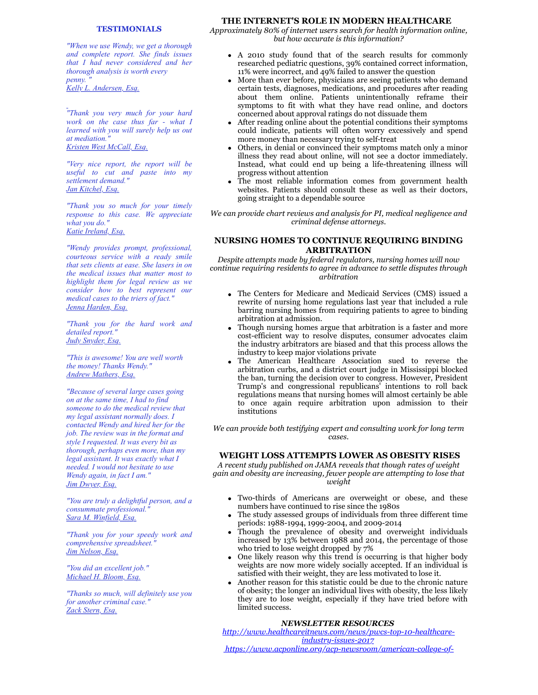#### **TESTIMONIALS**

*"When we use Wendy, we get a thorough and complete report. She finds issues that I had never considered and her thorough analysis is worth every penny. " Kelly L. Andersen, Esq.*

*"Thank you very much for your hard work on the case thus far - what I learned with you will surely help us out at mediation." Kristen West McCall, Esq.*

*"Very nice report, the report will be useful to cut and paste into my settlement demand." Jan Kitchel, Esq.*

*"Thank you so much for your timely response to this case. We appreciate what you do." Katie Ireland, Esq.*

*"Wendy provides prompt, professional, courteous service with a ready smile that sets clients at ease. She lasers in on the medical issues that matter most to highlight them for legal review as we consider how to best represent our medical cases to the triers of fact." Jenna Harden, Esq.*

*"Thank you for the hard work and detailed report." Judy Snyder, Esq.*

*"This is awesome! You are well worth the money! Thanks Wendy." Andrew Mathers, Esq.*

*"Because of several large cases going on at the same time, I had to find someone to do the medical review that my legal assistant normally does. I contacted Wendy and hired her for the job. The review was in the format and style I requested. It was every bit as thorough, perhaps even more, than my legal assistant. It was exactly what I needed. I would not hesitate to use Wendy again, in fact I am." Jim Dwyer, Esq.*

*"You are truly a delightful person, and a consummate professional." Sara M. Winfield, Esq.*

*"Thank you for your speedy work and comprehensive spreadsheet." Jim Nelson, Esq.*

*"You did an excellent job." Michael H. Bloom, Esq.*

*"Thanks so much, will definitely use you for another criminal case." Zack Stern, Esq.*

### **THE INTERNET'S ROLE IN MODERN HEALTHCARE**

*Approximately 80% of internet users search for health information online, but how accurate is this information?*

- A 2010 study found that of the search results for commonly researched pediatric questions, 39% contained correct information, 11% were incorrect, and 49% failed to answer the question
- More than ever before, physicians are seeing patients who demand certain tests, diagnoses, medications, and procedures after reading about them online. Patients unintentionally reframe their symptoms to fit with what they have read online, and doctors concerned about approval ratings do not dissuade them
- After reading online about the potential conditions their symptoms could indicate, patients will often worry excessively and spend more money than necessary trying to self-treat
- Others, in denial or convinced their symptoms match only a minor illness they read about online, will not see a doctor immediately. Instead, what could end up being a life-threatening illness will progress without attention
- The most reliable information comes from government health websites. Patients should consult these as well as their doctors, going straight to a dependable source

*We can provide chart reviews and analysis for PI, medical negligence and criminal defense attorneys.*

# **NURSING HOMES TO CONTINUE REQUIRING BINDING ARBITRATION**

*Despite attempts made by federal regulators, nursing homes will now continue requiring residents to agree in advance to settle disputes through arbitration*

- The Centers for Medicare and Medicaid Services (CMS) issued a rewrite of nursing home regulations last year that included a rule barring nursing homes from requiring patients to agree to binding arbitration at admission.
- Though nursing homes argue that arbitration is a faster and more cost-efficient way to resolve disputes, consumer advocates claim the industry arbitrators are biased and that this process allows the industry to keep major violations private
- The American Healthcare Association sued to reverse the arbitration curbs, and a district court judge in Mississippi blocked the ban, turning the decision over to congress. However, President Trump's and congressional republicans' intentions to roll back regulations means that nursing homes will almost certainly be able to once again require arbitration upon admission to their institutions

*We can provide both testifying expert and consulting work for long term cases.*

#### **WEIGHT LOSS ATTEMPTS LOWER AS OBESITY RISES**

*A recent study published on JAMA reveals that though rates of weight gain and obesity are increasing, fewer people are attempting to lose that weight*

- Two-thirds of Americans are overweight or obese, and these numbers have continued to rise since the 1980s
- The study assessed groups of individuals from three different time periods: 1988-1994, 1999-2004, and 2009-2014
- Though the prevalence of obesity and overweight individuals increased by 13% between 1988 and 2014, the percentage of those who tried to lose weight dropped by 7%
- One likely reason why this trend is occurring is that higher body weights are now more widely socially accepted. If an individual is satisfied with their weight, they are less motivated to lose it.
- Another reason for this statistic could be due to the chronic nature of obesity; the longer an individual lives with obesity, the less likely they are to lose weight, especially if they have tried before with limited success.

### *NEWSLETTER RESOURCES*

*[http://www.healthcareitnews.com/news/pwcs-top-10-healthcare](http://www.healthcareitnews.com/news/pwcs-top-10-healthcare-industry-issues-2017)industry-issues-2017*

 *[https://www.acponline.org/acp-newsroom/american-college-of-](https://www.acponline.org/acp-newsroom/american-college-of-physicians-issues-guideline-for-treating-nonradicular-low-back-pain)*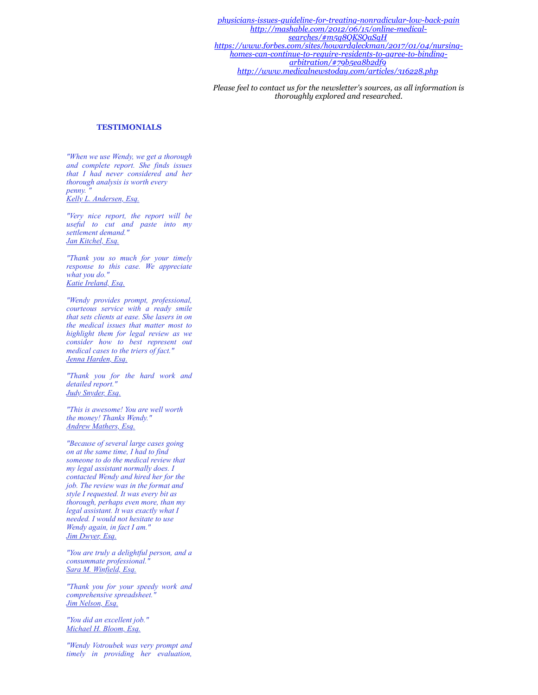*[physicians-issues-guideline-for-treating-nonradicular-low-back-pain](https://www.acponline.org/acp-newsroom/american-college-of-physicians-issues-guideline-for-treating-nonradicular-low-back-pain) [http://mashable.com/2012/06/15/online-medical](https://www.acponline.org/acp-newsroom/american-college-of-physicians-issues-guideline-for-treating-nonradicular-low-back-pain)searches/#m5q8QKSQaSqH [https://www.forbes.com/sites/howardgleckman/2017/01/04/nursing](https://www.forbes.com/sites/howardgleckman/2017/01/04/nursing-homes-can-continue-to-require-residents-to-agree-to-binding-arbitration/#79b5ea8b2df9)homes-can-continue-to-require-residents-to-agree-to-bindingarbitration/#79b5ea8b2df9 <http://www.medicalnewstoday.com/articles/316228.php>*

*Please feel to contact us for the newsletter's sources, as all information is thoroughly explored and researched.*

#### **TESTIMONIALS**

*"When we use Wendy, we get a thorough and complete report. She finds issues that I had never considered and her thorough analysis is worth every penny. " Kelly L. Andersen, Esq.*

*"Very nice report, the report will be useful to cut and paste into my settlement demand." Jan Kitchel, Esq.*

*"Thank you so much for your timely response to this case. We appreciate what you do." Katie Ireland, Esq.*

*"Wendy provides prompt, professional, courteous service with a ready smile that sets clients at ease. She lasers in on the medical issues that matter most to highlight them for legal review as we consider how to best represent out medical cases to the triers of fact." Jenna Harden, Esq.*

*"Thank you for the hard work and detailed report." Judy Snyder, Esq.*

*"This is awesome! You are well worth the money! Thanks Wendy." Andrew Mathers, Esq.*

*"Because of several large cases going on at the same time, I had to find someone to do the medical review that my legal assistant normally does. I contacted Wendy and hired her for the job. The review was in the format and style I requested. It was every bit as thorough, perhaps even more, than my legal assistant. It was exactly what I needed. I would not hesitate to use Wendy again, in fact I am." Jim Dwyer, Esq.*

*"You are truly a delightful person, and a consummate professional." Sara M. Winfield, Esq.*

*"Thank you for your speedy work and comprehensive spreadsheet." Jim Nelson, Esq.*

*"You did an excellent job." Michael H. Bloom, Esq.*

*"Wendy Votroubek was very prompt and timely in providing her evaluation,*